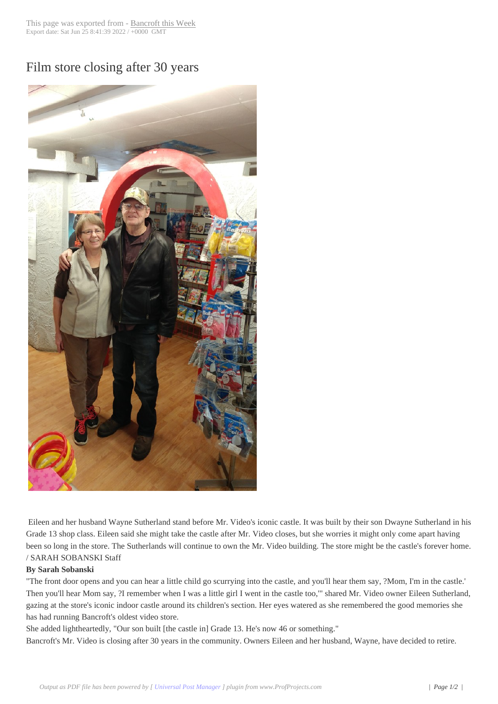## Film store closing [after 30 years](http://www.bancroftthisweek.com/?p=7269)



Eileen and her husband Wayne Sutherland stand before Mr. Video's iconic castle. It was built by their son Dwayne Sutherland in his Grade 13 shop class. Eileen said she might take the castle after Mr. Video closes, but she worries it might only come apart having been so long in the store. The Sutherlands will continue to own the Mr. Video building. The store might be the castle's forever home. / SARAH SOBANSKI Staff

## **By Sarah Sobanski**

"The front door opens and you can hear a little child go scurrying into the castle, and you'll hear them say, ?Mom, I'm in the castle.' Then you'll hear Mom say, ?I remember when I was a little girl I went in the castle too,'" shared Mr. Video owner Eileen Sutherland, gazing at the store's iconic indoor castle around its children's section. Her eyes watered as she remembered the good memories she has had running Bancroft's oldest video store.

She added lightheartedly, "Our son built [the castle in] Grade 13. He's now 46 or something."

Bancroft's Mr. Video is closing after 30 years in the community. Owners Eileen and her husband, Wayne, have decided to retire.